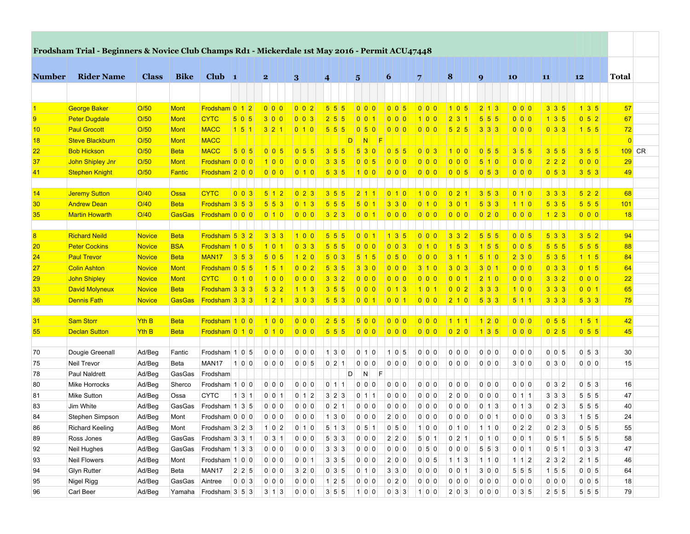|                   | Frodsham Trial - Beginners & Novice Club Champs Rd1 - Mickerdale 1st May 2016 - Permit ACU47448 |              |               |                            |                     |                     |                        |                     |                         |                                 |                     |                   |                     |                   |                     |                              |                |
|-------------------|-------------------------------------------------------------------------------------------------|--------------|---------------|----------------------------|---------------------|---------------------|------------------------|---------------------|-------------------------|---------------------------------|---------------------|-------------------|---------------------|-------------------|---------------------|------------------------------|----------------|
| <b>Number</b>     | <b>Rider Name</b>                                                                               | <b>Class</b> | <b>Bike</b>   | Club $\vert$ 1             |                     | $\mathbf{2}$        | 3                      | 4                   | $5\overline{)}$         | 6                               | $\overline{7}$      | 8                 | $\boldsymbol{9}$    | 10                | 11                  | 12                           | Total          |
|                   |                                                                                                 |              |               |                            |                     |                     |                        |                     |                         |                                 |                     |                   |                     |                   |                     |                              |                |
|                   |                                                                                                 |              |               |                            |                     |                     |                        |                     |                         |                                 |                     |                   |                     |                   |                     |                              |                |
| $\vert$ 1         | <b>George Baker</b>                                                                             | O/50         | <b>Mont</b>   | Frodsham 0 1 2             |                     | 0 0 0               | 002                    | $5 \ 5 \ 5$         | 0 0 0                   | 005                             | 0 0 0               | 1 0 5             | 2 1 3               | 0 0 0             | $3 3 5$             | $1 \mid 3 \mid 5$            | 57             |
| 9                 | <b>Peter Dugdale</b>                                                                            | O/50         | <b>Mont</b>   | <b>CYTC</b>                | 5 0 5               | 300                 | 0 0 3                  | 2 5 5               | 0 0 1                   | 0 0 0                           | 100                 | 231               | $5\overline{5}$ 5   | 0 0 0             | $1 \mid 3 \mid 5$   | 0 5 2                        | 67             |
| 10                | <b>Paul Grocott</b>                                                                             | O/50         | <b>Mont</b>   | <b>MACC</b>                | 1 5 1               | $321$               |                        | 5 5 5               | 0 5 0                   | 000                             | 0 0 0               | $5 2 5$           | $3 \mid 3 \mid 3$   | 0 0 0             | 0 3 3               | 1 5 5                        | 72             |
| 18                | <b>Steve Blackburn</b>                                                                          | O/50         | <b>Mont</b>   | <b>MACC</b>                |                     |                     |                        | D                   | $\vert N \vert$<br>- IF |                                 |                     |                   |                     |                   |                     |                              | $\overline{0}$ |
| $22 \overline{ }$ | <b>Bob Hickson</b>                                                                              | O/50         | <b>Beta</b>   | <b>MACC</b>                | 505                 | 0 0 5               | 0.55                   | 3 5 5               | 530                     | 0 5 5                           | 003                 | 100               | $0\vert 5\vert 5$   | $3 \mid 5 \mid 5$ | $3 \mid 5 \mid 5$   | $3 \mid 5 \mid 5$            | $109$ CR       |
| 37                | John Shipley Jnr                                                                                | O/50         | <b>Mont</b>   | Frodsham 0 0 0             |                     | 100                 | 0 0 0                  | 3 3 5               | 0 0 5                   | 0 0 0                           | 0 0 0               | 000               | 510                 | 000               | $2$ 2 2             | 000                          | 29             |
| 41                | <b>Stephen Knight</b>                                                                           | O/50         | <b>Fantic</b> | Frodsham 2 0 0             |                     | 0 0 0               | 0 1 0                  | 5 3 5               | 100                     | $\vert 0 \vert 0 \vert 0 \vert$ | 0 0 0               | 0 0 5             |                     | 0 0 0             | 0 5 3               | $3 \mid 5 \mid 3$            | 49             |
|                   |                                                                                                 |              |               |                            |                     |                     |                        |                     |                         |                                 |                     |                   |                     |                   |                     |                              |                |
| 14                | <b>Jeremy Sutton</b>                                                                            | O/40         | Ossa          | <b>CYTC</b>                | $0\vert 0\vert 3$   | $5 \mid 1 \mid 2$   | $\left  0 \right $ 2 3 | $3 5 5$             | $2111$                  | 0 1 0                           | 100                 | $0$   2   1       | $353$               | 0110              | $3 \mid 3 \mid 3$   | $5 2 2$                      | 68             |
| 30 <sub>o</sub>   | <b>Andrew Dean</b>                                                                              | O/40         | <b>Beta</b>   | Frodsham 3 5 3             |                     | 5 5 3               | $0 \mid 1 \mid 3$      | 5 5 5               | 501                     | $330$                           | 010                 | $3011$            | 533                 | 110               | 535                 | $555$                        | 101            |
| 35                | <b>Martin Howarth</b>                                                                           | O/40         | <b>GasGas</b> | <b>Frodsham</b> 0 0 0      |                     |                     | 0 0 0                  | 3 2 3               |                         |                                 | 0 0 0               | 0 0 0             |                     | 0 0 0             | 1 2 3               | 0 0 0                        | 18             |
|                   |                                                                                                 |              |               |                            |                     |                     |                        |                     |                         |                                 |                     |                   |                     |                   |                     |                              |                |
| 8                 | <b>Richard Neild</b>                                                                            | Novice       | <b>Beta</b>   | Frodsham 5 3 2             |                     | 3 3 3               | 100                    | 5 5 5               | $0$ 0 1                 | 135                             | 0 0 0               | $3 3 2$           | 555                 | 0 0 5             | 533                 | $3 \mid 5 \mid 2$            | 94             |
| 20 <sub>2</sub>   | <b>Peter Cockins</b>                                                                            | Novice       | <b>BSA</b>    | Frodsham 1 0 5             |                     | 1011                | 0 3 3                  | 5 5 5               | 0 0 0                   | $0\vert 0\vert 3$               | 010                 | 1 5 3             | 155                 | 0 0 5             | 5 5 5               | 5 5 5                        | 88             |
| 24                | <b>Paul Trevor</b>                                                                              | Novice       | <b>Beta</b>   | MAN <sub>17</sub>          | $353$               | 5 0 5               | 120                    | 5 0 3               | 5 1 5                   | 0 5 0                           | 000                 | 3 1 1             | $510$               | $230$             | 535                 | 1 1 5                        | 84             |
| 27                | <b>Colin Ashton</b>                                                                             | Novice       | <b>Mont</b>   | Frodsham 0 5 5             |                     | 1 5 1               | 0 0 2                  | 5 3 5               | 3 3 0                   | 0 0 0                           | $310$               | 3 0 3             | 3 0 1               | 0 0 0             | 0 3 3               | 0 1 5                        | 64             |
| 29                | John Shipley                                                                                    | Novice       | <b>Mont</b>   | <b>CYTC</b>                | 010                 | 1 0 0               | 0 0 0                  | $3 3 2$             | 0 0 0                   | 0 0 0                           | 000                 | $0$ 0 1           | 210                 | 0 0 0             | $3 \mid 3 \mid 2$   | 0 0 0                        | 22             |
| 33 <sub>o</sub>   | David Molyneux                                                                                  | Novice       | <b>Beta</b>   | Frodsham 3 3 3             |                     | 532                 | 113                    | 3 5 5               | 000                     | $0 \mid 1 \mid 3$               | $101$               | 0 0 2             | $333$               | 100               | $3 \mid 3 \mid 3$   | 0 0 1                        | 65             |
| 36                | Dennis Fath                                                                                     | Novice       | <b>GasGas</b> | <b>Frodsham 3 3 3</b>      |                     | 1 2 1               |                        | $5 \ 5 \ 3$         |                         |                                 |                     | 2 1 0             | 5 3 3               | 5 1 1             | $3 3 3$             | 533                          | 75             |
|                   |                                                                                                 |              |               |                            |                     |                     |                        |                     |                         |                                 |                     |                   |                     |                   |                     |                              |                |
| 31                | Sam Storr                                                                                       | <b>Yth B</b> | <b>Beta</b>   | Frodsham 1 0 0             |                     | 100                 | 0 0 0                  | 2 5 5               | 500                     | 000                             | 0 0 0               | 1111              | 120                 | 000               | $0\vert 5\vert 5$   | 1 5 1                        | 42             |
| 55                | <b>Declan Sutton</b>                                                                            | <b>Yth B</b> | <b>Beta</b>   | Frodsham 0 1 0             |                     | 0 1 0               | 0 0 0                  | $555$               | 0 0 0                   | 0 0 0                           | 0 0 0               | $0$ 2 0           |                     | 0 0 0             | 0 2 5               | $0\vert 5\vert 5$            | 45             |
|                   |                                                                                                 |              |               |                            |                     |                     |                        |                     |                         |                                 |                     |                   |                     |                   |                     |                              |                |
| 70                | Dougie Greenall                                                                                 | Ad/Beg       | Fantic        | Frodsham $1 0 5$           |                     | 0 0 0               | 0 0 0                  | $1 \vert 3 \vert 0$ | $0 \mid 1 \mid 0$       | 1 0 5                           | 0 0 0               | 0 0 0             | 0 0 0               | 0 0 0             | 0 0 5               | $0 \vert 5 \vert 3$          | 30             |
| 75                | Neil Trevor                                                                                     | Ad/Beg       | <b>Beta</b>   | MAN17                      | 1 0 0               | $0$ 0 0             | $0 \vert 0 \vert 5$    | $0$ 2 1             | $0$ 0 0                 | 0 0 0                           | $0$ 0 0             | 0 0 0             | 0 0 0               | 300               | $0 \vert 3 \vert 0$ | 0 0 0                        | 15             |
| 78                | Paul Naldrett                                                                                   | Ad/Beg       | GasGas        | Frodsham                   |                     |                     |                        | D                   | N<br>F                  |                                 |                     |                   |                     |                   |                     |                              |                |
| 80                | Mike Horrocks                                                                                   | Ad/Beg       | Sherco        | Frodsham $1 0 0$           |                     | $0$ 0 0             | 0 0 0                  | $0 \ 1 \ 1$         | $0$ 0 0                 | $0 \vert 0 \vert 0$             | $0$ 0 0             | 0 0 0             | 0 0 0               | 0 0 0             | $0 \mid 3 \mid 2$   | $0 \mid 5 \mid 3$            | 16             |
|                   |                                                                                                 |              |               |                            |                     |                     |                        |                     |                         |                                 |                     |                   |                     |                   |                     |                              |                |
| 81                | Mike Sutton                                                                                     | Ad/Beg       | Ossa          | <b>CYTC</b>                | $1 \vert 3 \vert 1$ | $0 \mid 0 \mid 1$   | $0 \mid 1 \mid 2$      | $3 \mid 2 \mid 3$   | $0$ 1 1                 | 000                             | 0 0 0               | 2 0 0             | 0 0 0               | $0 \mid 1 \mid 1$ | $3 \mid 3 \mid 3$   | $5 \vert 5 \vert 5$<br>5 5 5 | 47             |
| 83                | Jim White                                                                                       | Ad/Beg       | GasGas        | Frodsham $1 \mid 3 \mid 5$ |                     | 0 0 0               | 0 0 0                  | $0 \ 2 \ 1$         | $0$ 0 0                 | 000                             | 0 0 0               | 0 0 0             | $0 \mid 1 \mid 3$   | $0 \mid 1 \mid 3$ | $0 \ 2 \ 3$         |                              | 40             |
| 84                | Stephen Simpson                                                                                 | Ad/Beg       | Mont          | Frodsham $0 0 0$           |                     | 0 0 0               | 0 0 0                  | $1 \vert 3 \vert 0$ | $0$ 0 0                 | 200                             | 0 0 0               | 0 0 0             | $0 \mid 0 \mid 1$   | 0 0 0             | $0 \mid 3 \mid 3$   | $1 \vert 5 \vert 5$          | 24             |
| 86                | <b>Richard Keeling</b>                                                                          | Ad/Beg       | Mont          | Frodsham $3 \mid 2 \mid 3$ |                     | 1 0 2               | $0 \mid 1 \mid 0$      | $5 \mid 1 \mid 3$   | $0 \mid 5 \mid 1$       | 0 5 0                           | 1 0 0               | 0 1 0             | $1 \mid 1 \mid 0$   | $0 \mid 2 \mid 2$ | $0 \mid 2 \mid 3$   | $0 \vert 5 \vert 5$          | 55             |
| 89                | Ross Jones                                                                                      | Ad/Beg       | GasGas        | Frodsham 3 3 1             |                     | $0 \mid 3 \mid 1$   | 0 0 0                  | $5 \vert 3 \vert 3$ | $0 \vert 0 \vert 0$     | 2 2 0                           | $5 \vert 0 \vert 1$ | 0 2 1             | $0 \mid 1 \mid 0$   | $0 \mid 0 \mid 1$ | $0 \vert 5 \vert 1$ | $5 \ 5 \ 5$                  | 58             |
| 92                | Neil Hughes                                                                                     | Ad/Beg       | GasGas        | Frodsham $1 \mid 3 \mid 3$ |                     | 0 0 0               | 0 0 0                  | $3 \mid 3 \mid 3$   | $0 \vert 0 \vert 0$     | $0 \mid 0 \mid 0$               | 0 5 0               | 0 0 0             | $5 \vert 5 \vert 3$ | $0 \mid 0 \mid 1$ | $0 \vert 5 \vert 1$ | $0 \mid 3 \mid 3$            | 47             |
| 93                | <b>Neil Flowers</b>                                                                             | Ad/Beg       | Mont          | Frodsham 1 0 0             |                     | $0 \vert 0 \vert 0$ | 0 0 1                  | $3 \mid 3 \mid 5$   | $0 \vert 0 \vert 0$     | 200                             | 0 0 5               | $1 \mid 1 \mid 3$ | $1 \mid 1 \mid 0$   | $1 \mid 1 \mid 2$ | $2 \mid 3 \mid 2$   | 2   1   5                    | 46             |
| 94                | <b>Glyn Rutter</b>                                                                              | Ad/Beg       | Beta          | MAN17                      | $2 \mid 2 \mid 5$   | $0 \vert 0 \vert 0$ | 3 2 0                  | $0 \mid 3 \mid 5$   | $0 \mid 1 \mid 0$       | $3 \vert 3 \vert 0$             | 0 0 0               | 0 0 1             | 3 0 0               | $5 \ 5 \ 5$       | $1 \vert 5 \vert 5$ | $0 \mid 0 \mid 5$            | 64             |
| 95                | Nigel Rigg                                                                                      | Ad/Beg       | GasGas        | Aintree                    | $0 \mid 0 \mid 3$   | $0 \vert 0 \vert 0$ | 0 0 0                  | 125                 | $0 \vert 0 \vert 0$     | $0$ 2 0                         | 0 0 0               | 0 0 0             | 0 0 0               | 0 0 0             | 0 0 0               | $0 \mid 0 \mid 5$            | 18             |
| 96                | Carl Beer                                                                                       | Ad/Beg       | Yamaha        | Frodsham 3 5 3             |                     | $3 \mid 1 \mid 3$   | 0 0 0                  | 3 5 5               | 1 0 0                   | $0 \mid 3 \mid 3$               | 1 0 0               | $2 \mid 0 \mid 3$ | 0 0 0               | $0 \mid 3 \mid 5$ | $2 \mid 5 \mid 5$   | $5 \vert 5 \vert 5$          | 79             |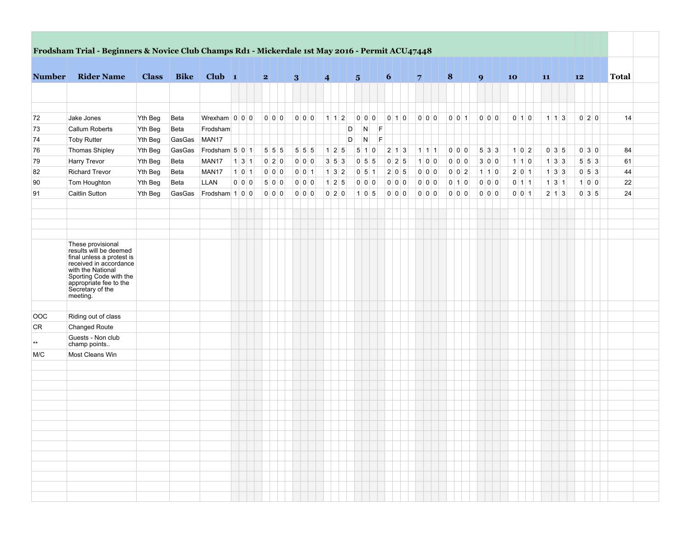|               |                                                                                                                                                                                                             |              |             | Frodsham Trial - Beginners & Novice Club Champs Rd1 - Mickerdale 1st May 2016 - Permit ACU47448 |         |   |         |   |                     |                 |   |                   |   |                   |   |                   |   |                   |       |                 |                   |    |                   |    |                                               |              |
|---------------|-------------------------------------------------------------------------------------------------------------------------------------------------------------------------------------------------------------|--------------|-------------|-------------------------------------------------------------------------------------------------|---------|---|---------|---|---------------------|-----------------|---|-------------------|---|-------------------|---|-------------------|---|-------------------|-------|-----------------|-------------------|----|-------------------|----|-----------------------------------------------|--------------|
| <b>Number</b> | <b>Rider Name</b>                                                                                                                                                                                           | <b>Class</b> | <b>Bike</b> | Club $\vert$ 1                                                                                  |         | 2 |         | 3 |                     | $\vert 4 \vert$ | 5 |                   |   | $\vert 6 \vert$   | 7 |                   | 8 |                   | 9     | 10 <sup>1</sup> |                   | 11 |                   | 12 |                                               | <b>Total</b> |
|               |                                                                                                                                                                                                             |              |             |                                                                                                 |         |   |         |   |                     |                 |   |                   |   |                   |   |                   |   |                   |       |                 |                   |    |                   |    |                                               |              |
|               |                                                                                                                                                                                                             |              |             |                                                                                                 |         |   |         |   |                     |                 |   |                   |   |                   |   |                   |   |                   |       |                 |                   |    |                   |    |                                               |              |
| 72            | Jake Jones                                                                                                                                                                                                  | Yth Beg      | Beta        | Wrexham $ 0 0 0$                                                                                |         |   |         |   | 000                 | 1 1 2           |   | 0 0 0             |   | 010               |   | 0 0 0             |   | 0 0 1             | 0 0 0 |                 | $0 \mid 1 \mid 0$ |    | $1 \mid 1 \mid 3$ |    | 0 2 0                                         | 14           |
| 73            | <b>Callum Roberts</b>                                                                                                                                                                                       | Yth Beg      | Beta        | Frodsham                                                                                        |         |   |         |   |                     |                 | D | N                 | F |                   |   |                   |   |                   |       |                 |                   |    |                   |    |                                               |              |
| 74            | <b>Toby Rutter</b>                                                                                                                                                                                          | Yth Beg      | GasGas      | MAN <sub>17</sub>                                                                               |         |   |         |   |                     |                 | D | N                 | F |                   |   |                   |   |                   |       |                 |                   |    |                   |    |                                               |              |
| 76            | Thomas Shipley                                                                                                                                                                                              | Yth Beg      | GasGas      | Frodsham 5 0 1                                                                                  |         |   | 5 5 5   |   | $5 \overline{5}$ 5  | 125             |   | $5 \mid 1 \mid 0$ |   | $2 \mid 1 \mid 3$ |   | $1 \mid 1 \mid 1$ |   | 0 0 0             | 533   |                 | 1 0 2             |    | $0 \mid 3 \mid 5$ |    | $0 \vert 3 \vert 0$                           | 84           |
| 79            | Harry Trevor                                                                                                                                                                                                | Yth Beg      | Beta        | MAN <sub>17</sub>                                                                               | 131     |   | $0$ 2 0 |   | $0\vert 0\vert 0$   | $3 \ 5 \ 3$     |   | 055               |   | $0 \ 2 \ 5$       |   | 1 0 0             |   | 0 0 0             | 300   |                 | $1 \mid 1 \mid 0$ |    | $1 \mid 3 \mid 3$ |    | $5 \vert 5 \vert 3$                           | 61           |
| 82            | <b>Richard Trevor</b>                                                                                                                                                                                       | Yth Beg      | Beta        | MAN17                                                                                           | $1$ 0 1 |   | $0$ 0 0 |   | $0 \vert 0 \vert 1$ | $132$           |   | $0 \ 5 \ 1$       |   | $2 \mid 0 \mid 5$ |   | 0 0 0             |   | 0 0 2             | 1 1 0 |                 | 2 0 1             |    | $1 \mid 3 \mid 3$ |    | $0 \mid 5 \mid 3$                             | 44           |
| 90            | Tom Houghton                                                                                                                                                                                                | Yth Beg      | Beta        | LLAN                                                                                            | $0$ 0 0 |   | 500     |   | 0 0 0               | $125$           |   | $0$ 0 0           |   | 0 0 0             |   | 0 0 0             |   | $0 \mid 1 \mid 0$ | 0 0 0 |                 | $0 \mid 1 \mid 1$ |    | $1 \mid 3 \mid 1$ |    | 100                                           | 22           |
| 91            | <b>Caitlin Sutton</b>                                                                                                                                                                                       | Yth Beg      | GasGas      | Frodsham 1 0 0                                                                                  |         |   | 0 0 0   |   | 0 0 0               | $0$ 2 0         |   | 105               |   | 0 0 0             |   | 0 0 0             |   | 0 0 0             | 0 0 0 |                 | $0 \mid 0 \mid 1$ |    | $2 \mid 1 \mid 3$ |    | $0 \overline{\smash{3}} \overline{\smash{5}}$ | 24           |
|               |                                                                                                                                                                                                             |              |             |                                                                                                 |         |   |         |   |                     |                 |   |                   |   |                   |   |                   |   |                   |       |                 |                   |    |                   |    |                                               |              |
|               | These provisional<br>results will be deemed<br>final unless a protest is<br>received in accordance<br>with the National<br>Sporting Code with the<br>appropriate fee to the<br>Secretary of the<br>meeting. |              |             |                                                                                                 |         |   |         |   |                     |                 |   |                   |   |                   |   |                   |   |                   |       |                 |                   |    |                   |    |                                               |              |
|               |                                                                                                                                                                                                             |              |             |                                                                                                 |         |   |         |   |                     |                 |   |                   |   |                   |   |                   |   |                   |       |                 |                   |    |                   |    |                                               |              |
| OOC           | Riding out of class                                                                                                                                                                                         |              |             |                                                                                                 |         |   |         |   |                     |                 |   |                   |   |                   |   |                   |   |                   |       |                 |                   |    |                   |    |                                               |              |
| <b>CR</b>     | Changed Route<br>Guests - Non club<br>champ points                                                                                                                                                          |              |             |                                                                                                 |         |   |         |   |                     |                 |   |                   |   |                   |   |                   |   |                   |       |                 |                   |    |                   |    |                                               |              |
| M/C           | Most Cleans Win                                                                                                                                                                                             |              |             |                                                                                                 |         |   |         |   |                     |                 |   |                   |   |                   |   |                   |   |                   |       |                 |                   |    |                   |    |                                               |              |
|               |                                                                                                                                                                                                             |              |             |                                                                                                 |         |   |         |   |                     |                 |   |                   |   |                   |   |                   |   |                   |       |                 |                   |    |                   |    |                                               |              |
|               |                                                                                                                                                                                                             |              |             |                                                                                                 |         |   |         |   |                     |                 |   |                   |   |                   |   |                   |   |                   |       |                 |                   |    |                   |    |                                               |              |
|               |                                                                                                                                                                                                             |              |             |                                                                                                 |         |   |         |   |                     |                 |   |                   |   |                   |   |                   |   |                   |       |                 |                   |    |                   |    |                                               |              |
|               |                                                                                                                                                                                                             |              |             |                                                                                                 |         |   |         |   |                     |                 |   |                   |   |                   |   |                   |   |                   |       |                 |                   |    |                   |    |                                               |              |
|               |                                                                                                                                                                                                             |              |             |                                                                                                 |         |   |         |   |                     |                 |   |                   |   |                   |   |                   |   |                   |       |                 |                   |    |                   |    |                                               |              |
|               |                                                                                                                                                                                                             |              |             |                                                                                                 |         |   |         |   |                     |                 |   |                   |   |                   |   |                   |   |                   |       |                 |                   |    |                   |    |                                               |              |
|               |                                                                                                                                                                                                             |              |             |                                                                                                 |         |   |         |   |                     |                 |   |                   |   |                   |   |                   |   |                   |       |                 |                   |    |                   |    |                                               |              |
|               |                                                                                                                                                                                                             |              |             |                                                                                                 |         |   |         |   |                     |                 |   |                   |   |                   |   |                   |   |                   |       |                 |                   |    |                   |    |                                               |              |
|               |                                                                                                                                                                                                             |              |             |                                                                                                 |         |   |         |   |                     |                 |   |                   |   |                   |   |                   |   |                   |       |                 |                   |    |                   |    |                                               |              |
|               |                                                                                                                                                                                                             |              |             |                                                                                                 |         |   |         |   |                     |                 |   |                   |   |                   |   |                   |   |                   |       |                 |                   |    |                   |    |                                               |              |
|               |                                                                                                                                                                                                             |              |             |                                                                                                 |         |   |         |   |                     |                 |   |                   |   |                   |   |                   |   |                   |       |                 |                   |    |                   |    |                                               |              |
|               |                                                                                                                                                                                                             |              |             |                                                                                                 |         |   |         |   |                     |                 |   |                   |   |                   |   |                   |   |                   |       |                 |                   |    |                   |    |                                               |              |
|               |                                                                                                                                                                                                             |              |             |                                                                                                 |         |   |         |   |                     |                 |   |                   |   |                   |   |                   |   |                   |       |                 |                   |    |                   |    |                                               |              |